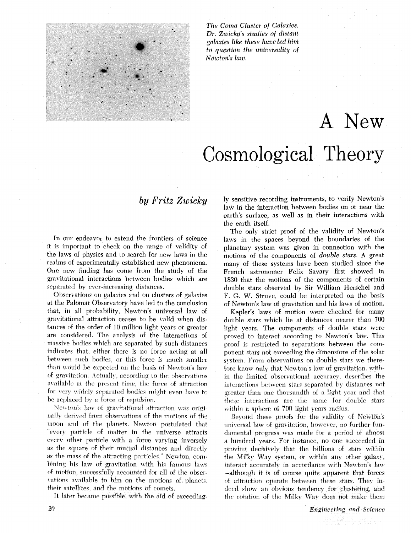

*The Coma Cluster of Galaxies. Dr. Zwicky's studies of distant gulaxies like these have led him to question the universality of Newton's law.* 

## A New Cosmological Theory

## by *Fritz* Zwicky

In our endeavor to extend the frontiers of science it is important to check on the range of validity of the laws of physics and to search for new laws in the realms of experimentally established new phenomena. One new finding has come from the study of the gravitational interactions between bodies which are separated by ever-increasing distances.

Observations on galaxies and on clusters of galaxies at the Palumar Observatory have led to the conclusion that, in all probability, Newton's universal law of gravitational attraction ceases to be valid when distances of the order of 10 million light years or greater are considered. The analysis of the interactions of massive bodies which are separated by such distances indicates that, either there is no force acting at all between such bodies, or this force is much smaller than would be expected on the basis of Newton's law of gravitation. 4ctnally. according to the observations available at the present time, the force of attraction for very widely separated bodies might even have to be replaced **hy** a force of repulsion.

Newton's law of gravitational attraction was originally derived from observations of the motions of the moon and of the planets. Newton postulated that "every particle of matter in the universe attracts" every other particle with a force varying inversely as the square of their mutual distances and directly as the mass **of** the attracting particles." Newton, cornbining his law of gravitation with his famous laws of motion, successfully accounted for all of the observations available to him on the motions of planets, their satellites, and the motions of comets.

**ft** later became possible, with the aid of exceeding-

ly sensitive recording instruments, to verify Newton's law in the interaction between bodies on or near the earth's surface, as well as in their interactions with the earth itself.

The only strict proof of the validity of Newton's laws in the spaces beyond the boundaries of the planetary system was given in connection with the motions of the components of *double stars. A* great many of these systems have been studied since the French astronomer Felix Savary first showed in 1830 that the motions of the components of certain double stars observed by Sir William Herschel and F. G. W. Struve, could be interpreted on the basis of Newton's law of gravitation and his laws of motion.

Kepler's laws of motion were checked for many double stars which lie at distances nearer than 700 light vears. The components of double stars were proved to interact according to Newton's law. This proof is restricted to separations between the component stars not exceeding the dimensions of the solar system. From observations on double stars we therefore know only that Newton's law of gravitation, within the limited observational accuracy, describes the interactions between stars separated by distances not greater than one thousandth of a light year and that these interactions are the same for double stars within a sphere of 700 light years radius.

Beyond these proofs for the validity of Newton's universal law of gravitation, however, no further fundamental progress was made for a period of almost a hundred vears. For instance, no one succeeded in proving decishely that the billions of stars within the Milky Way system, or within any other galaxy, interact accurately in accordance with Newton's law -although it is of course quite apparent that forces of attraction operate between these stars. They indeed show an obvious tendency for clustering, and the rotation of the Milky Way does not make them